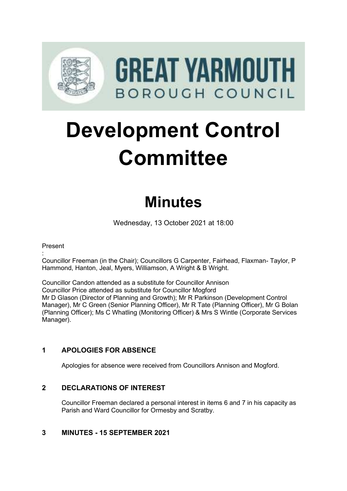

# **Development Control Committee**

# **Minutes**

Wednesday, 13 October 2021 at 18:00

#### Present

: Councillor Freeman (in the Chair); Councillors G Carpenter, Fairhead, Flaxman- Taylor, P Hammond, Hanton, Jeal, Myers, Williamson, A Wright & B Wright.

Councillor Candon attended as a substitute for Councillor Annison Councillor Price attended as substitute for Councillor Mogford Mr D Glason (Director of Planning and Growth); Mr R Parkinson (Development Control Manager), Mr C Green (Senior Planning Officer), Mr R Tate (Planning Officer), Mr G Bolan (Planning Officer); Ms C Whatling (Monitoring Officer) & Mrs S Wintle (Corporate Services Manager).

# **1 APOLOGIES FOR ABSENCE**

Apologies for absence were received from Councillors Annison and Mogford.

# **2 DECLARATIONS OF INTEREST** 2

Councillor Freeman declared a personal interest in items 6 and 7 in his capacity as Parish and Ward Councillor for Ormesby and Scratby.

#### **3 MINUTES - 15 SEPTEMBER 2021** 3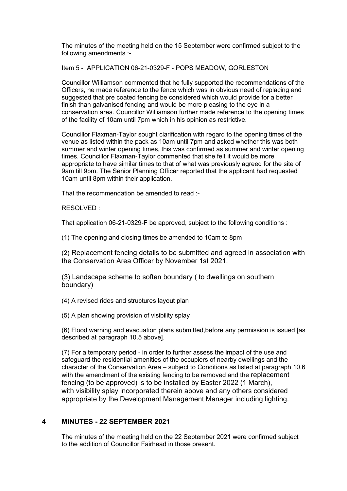The minutes of the meeting held on the 15 September were confirmed subject to the following amendments :-

Item 5 - APPLICATION 06-21-0329-F - POPS MEADOW, GORLESTON

Councillor Williamson commented that he fully supported the recommendations of the Officers, he made reference to the fence which was in obvious need of replacing and suggested that pre coated fencing be considered which would provide for a better finish than galvanised fencing and would be more pleasing to the eye in a conservation area. Councillor Williamson further made reference to the opening times of the facility of 10am until 7pm which in his opinion as restrictive.

Councillor Flaxman-Taylor sought clarification with regard to the opening times of the venue as listed within the pack as 10am until 7pm and asked whether this was both summer and winter opening times, this was confirmed as summer and winter opening times. Councillor Flaxman-Taylor commented that she felt it would be more appropriate to have similar times to that of what was previously agreed for the site of 9am till 9pm. The Senior Planning Officer reported that the applicant had requested 10am until 8pm within their application.

That the recommendation be amended to read :-

RESOLVED :

That application 06-21-0329-F be approved, subject to the following conditions :

(1) The opening and closing times be amended to 10am to 8pm

(2) Replacement fencing details to be submitted and agreed in association with the Conservation Area Officer by November 1st 2021.

(3) Landscape scheme to soften boundary ( to dwellings on southern boundary)

(4) A revised rides and structures layout plan

(5) A plan showing provision of visibility splay

(6) Flood warning and evacuation plans submitted,before any permission is issued [as described at paragraph 10.5 above].

(7) For a temporary period - in order to further assess the impact of the use and safeguard the residential amenities of the occupiers of nearby dwellings and the character of the Conservation Area – subject to Conditions as listed at paragraph 10.6 with the amendment of the existing fencing to be removed and the replacement fencing (to be approved) is to be installed by Easter 2022 (1 March), with visibility splay incorporated therein above and any others considered appropriate by the Development Management Manager including lighting.

#### **4 MINUTES - 22 SEPTEMBER 2021** 4

The minutes of the meeting held on the 22 September 2021 were confirmed subject to the addition of Councillor Fairhead in those present.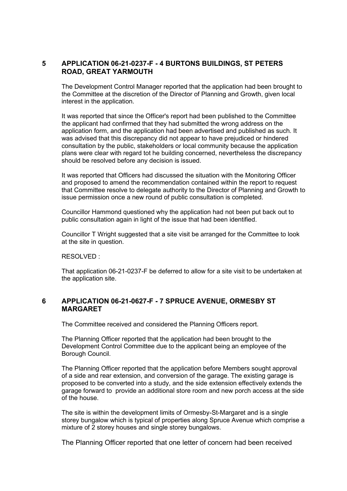#### **5 APPLICATION 06-21-0237-F - 4 BURTONS BUILDINGS, ST PETERS ROAD, GREAT YARMOUTH**

The Development Control Manager reported that the application had been brought to the Committee at the discretion of the Director of Planning and Growth, given local interest in the application.

It was reported that since the Officer's report had been published to the Committee the applicant had confirmed that they had submitted the wrong address on the application form, and the application had been advertised and published as such. It was advised that this discrepancy did not appear to have prejudiced or hindered consultation by the public, stakeholders or local community because the application plans were clear with regard tot he building concerned, nevertheless the discrepancy should be resolved before any decision is issued.

It was reported that Officers had discussed the situation with the Monitoring Officer and proposed to amend the recommendation contained within the report to request that Committee resolve to delegate authority to the Director of Planning and Growth to issue permission once a new round of public consultation is completed.

Councillor Hammond questioned why the application had not been put back out to public consultation again in light of the issue that had been identified.

Councillor T Wright suggested that a site visit be arranged for the Committee to look at the site in question.

RESOLVED :

That application 06-21-0237-F be deferred to allow for a site visit to be undertaken at the application site.

#### **6 APPLICATION 06-21-0627-F - 7 SPRUCE AVENUE, ORMESBY ST MARGARET**

The Committee received and considered the Planning Officers report.

The Planning Officer reported that the application had been brought to the Development Control Committee due to the applicant being an employee of the Borough Council.

The Planning Officer reported that the application before Members sought approval of a side and rear extension, and conversion of the garage. The existing garage is proposed to be converted into a study, and the side extension effectively extends the garage forward to provide an additional store room and new porch access at the side of the house.

The site is within the development limits of Ormesby-St-Margaret and is a single storey bungalow which is typical of properties along Spruce Avenue which comprise a mixture of 2 storey houses and single storey bungalows.

The Planning Officer reported that one letter of concern had been received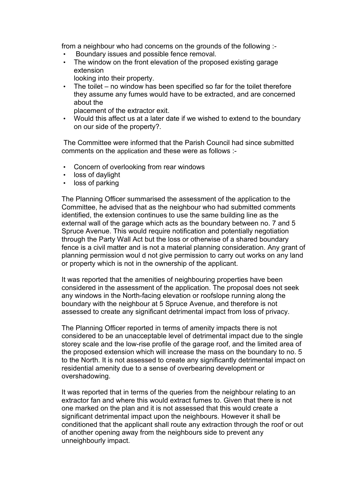from a neighbour who had concerns on the grounds of the following :-

- Boundary issues and possible fence removal.<br>• The window on the front elevation of the propo
- The window on the front elevation of the proposed existing garage extension

looking into their property.

• The toilet – no window has been specified so far for the toilet therefore they assume any fumes would have to be extracted, and are concerned about the

placement of the extractor exit.

• Would this affect us at a later date if we wished to extend to the boundary on our side of the property?.

 The Committee were informed that the Parish Council had since submitted comments on the application and these were as follows :-

- Concern of overlooking from rear windows
- loss of daylight
- loss of parking

The Planning Officer summarised the assessment of the application to the Committee, he advised that as the neighbour who had submitted comments identified, the extension continues to use the same building line as the external wall of the garage which acts as the boundary between no. 7 and 5 Spruce Avenue. This would require notification and potentially negotiation through the Party Wall Act but the loss or otherwise of a shared boundary fence is a civil matter and is not a material planning consideration. Any grant of planning permission woul d not give permission to carry out works on any land or property which is not in the ownership of the applicant.

It was reported that the amenities of neighbouring properties have been considered in the assessment of the application. The proposal does not seek any windows in the North-facing elevation or roofslope running along the boundary with the neighbour at 5 Spruce Avenue, and therefore is not assessed to create any significant detrimental impact from loss of privacy.

The Planning Officer reported in terms of amenity impacts there is not considered to be an unacceptable level of detrimental impact due to the single storey scale and the low-rise profile of the garage roof, and the limited area of the proposed extension which will increase the mass on the boundary to no. 5 to the North. It is not assessed to create any significantly detrimental impact on residential amenity due to a sense of overbearing development or overshadowing.

It was reported that in terms of the queries from the neighbour relating to an extractor fan and where this would extract fumes to. Given that there is not one marked on the plan and it is not assessed that this would create a significant detrimental impact upon the neighbours. However it shall be conditioned that the applicant shall route any extraction through the roof or out of another opening away from the neighbours side to prevent any unneighbourly impact.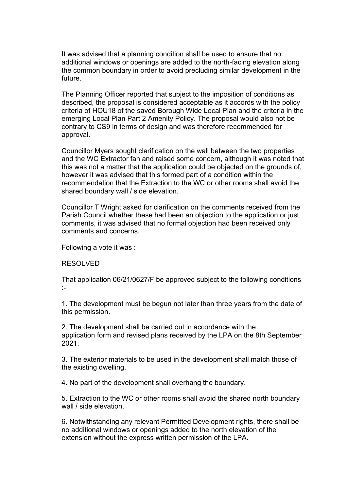It was advised that a planning condition shall be used to ensure that no additional windows or openings are added to the north-facing elevation along the common boundary in order to avoid precluding similar development in the future.

The Planning Officer reported that subject to the imposition of conditions as described, the proposal is considered acceptable as it accords with the policy criteria of HOU18 of the saved Borough Wide Local Plan and the criteria in the emerging Local Plan Part 2 Amenity Policy. The proposal would also not be contrary to CS9 in terms of design and was therefore recommended for approval.

Councillor Myers sought clarification on the wall between the two properties and the WC Extractor fan and raised some concern, although it was noted that this was not a matter that the application could be objected on the grounds of, however it was advised that this formed part of a condition within the recommendation that the Extraction to the WC or other rooms shall avoid the shared boundary wall / side elevation.

Councillor T Wright asked for clarification on the comments received from the Parish Council whether these had been an objection to the application or just comments, it was advised that no formal objection had been received only comments and concerns.

Following a vote it was :

#### RESOLVED

That application 06/21/0627/F be approved subject to the following conditions :-

1. The development must be begun not later than three years from the date of this permission.

2. The development shall be carried out in accordance with the application form and revised plans received by the LPA on the 8th September 2021.

3. The exterior materials to be used in the development shall match those of the existing dwelling.

4. No part of the development shall overhang the boundary.

5. Extraction to the WC or other rooms shall avoid the shared north boundary wall / side elevation.

6. Notwithstanding any relevant Permitted Development rights, there shall be no additional windows or openings added to the north elevation of the extension without the express written permission of the LPA.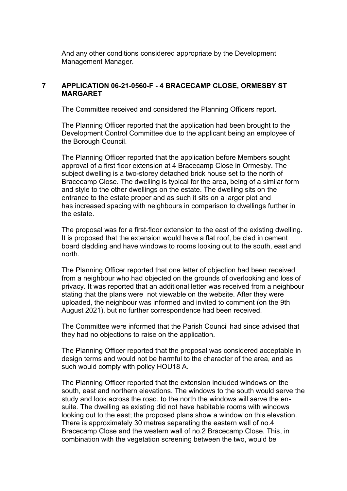And any other conditions considered appropriate by the Development Management Manager.

#### **7 APPLICATION 06-21-0560-F - 4 BRACECAMP CLOSE, ORMESBY ST MARGARFT**

The Committee received and considered the Planning Officers report.

The Planning Officer reported that the application had been brought to the Development Control Committee due to the applicant being an employee of the Borough Council.

The Planning Officer reported that the application before Members sought approval of a first floor extension at 4 Bracecamp Close in Ormesby. The subject dwelling is a two-storey detached brick house set to the north of Bracecamp Close. The dwelling is typical for the area, being of a similar form and style to the other dwellings on the estate. The dwelling sits on the entrance to the estate proper and as such it sits on a larger plot and has increased spacing with neighbours in comparison to dwellings further in the estate.

The proposal was for a first-floor extension to the east of the existing dwelling. It is proposed that the extension would have a flat roof, be clad in cement board cladding and have windows to rooms looking out to the south, east and north.

The Planning Officer reported that one letter of objection had been received from a neighbour who had objected on the grounds of overlooking and loss of privacy. It was reported that an additional letter was received from a neighbour stating that the plans were not viewable on the website. After they were uploaded, the neighbour was informed and invited to comment (on the 9th August 2021), but no further correspondence had been received.

The Committee were informed that the Parish Council had since advised that they had no objections to raise on the application.

The Planning Officer reported that the proposal was considered acceptable in design terms and would not be harmful to the character of the area, and as such would comply with policy HOU18 A.

The Planning Officer reported that the extension included windows on the south, east and northern elevations. The windows to the south would serve the study and look across the road, to the north the windows will serve the ensuite. The dwelling as existing did not have habitable rooms with windows looking out to the east; the proposed plans show a window on this elevation. There is approximately 30 metres separating the eastern wall of no.4 Bracecamp Close and the western wall of no.2 Bracecamp Close. This, in combination with the vegetation screening between the two, would be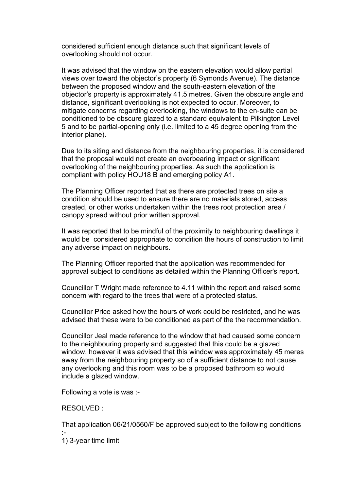considered sufficient enough distance such that significant levels of overlooking should not occur.

It was advised that the window on the eastern elevation would allow partial views over toward the objector's property (6 Symonds Avenue). The distance between the proposed window and the south-eastern elevation of the objector's property is approximately 41.5 metres. Given the obscure angle and distance, significant overlooking is not expected to occur. Moreover, to mitigate concerns regarding overlooking, the windows to the en-suite can be conditioned to be obscure glazed to a standard equivalent to Pilkington Level 5 and to be partial-opening only (i.e. limited to a 45 degree opening from the interior plane).

Due to its siting and distance from the neighbouring properties, it is considered that the proposal would not create an overbearing impact or significant overlooking of the neighbouring properties. As such the application is compliant with policy HOU18 B and emerging policy A1.

The Planning Officer reported that as there are protected trees on site a condition should be used to ensure there are no materials stored, access created, or other works undertaken within the trees root protection area / canopy spread without prior written approval.

It was reported that to be mindful of the proximity to neighbouring dwellings it would be considered appropriate to condition the hours of construction to limit any adverse impact on neighbours.

The Planning Officer reported that the application was recommended for approval subject to conditions as detailed within the Planning Officer's report.

Councillor T Wright made reference to 4.11 within the report and raised some concern with regard to the trees that were of a protected status.

Councillor Price asked how the hours of work could be restricted, and he was advised that these were to be conditioned as part of the the recommendation.

Councillor Jeal made reference to the window that had caused some concern to the neighbouring property and suggested that this could be a glazed window, however it was advised that this window was approximately 45 meres away from the neighbouring property so of a sufficient distance to not cause any overlooking and this room was to be a proposed bathroom so would include a glazed window.

Following a vote is was :-

RESOLVED :

That application 06/21/0560/F be approved subject to the following conditions :-

1) 3-year time limit